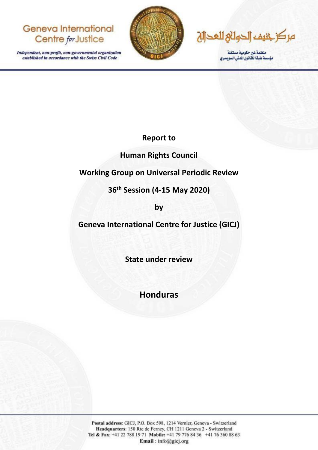# **Geneva International** Centre for Justice

Independent, non-profit, non-governmental organization established in accordance with the Swiss Civil Code



مركز خنيف الحولاج للعحالة

منظمة غير حكومية مستقلة<br>مؤسسة طبقا للقانون الدني السويسري

**Report to** 

# **Human Rights Council**

# **Working Group on Universal Periodic Review**

# **36th Session (4-15 May 2020)**

**by** 

**Geneva International Centre for Justice (GICJ)** 

**State under review** 

**Honduras**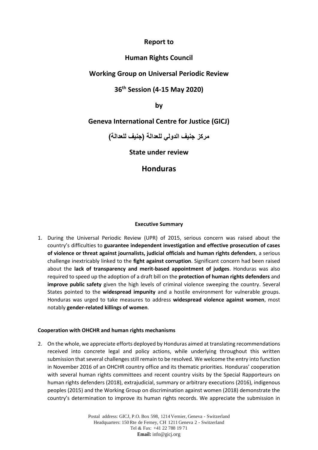### **Report to**

### **Human Rights Council**

## **Working Group on Universal Periodic Review**

## **36th Session (4-15 May 2020)**

**by** 

## **Geneva International Centre for Justice (GICJ)**

**مركز جنيف الدولي للعدالة )جنيف للعدالة(**

**State under review** 

# **Honduras**

### **Executive Summary**

1. During the Universal Periodic Review (UPR) of 2015, serious concern was raised about the country's difficulties to **guarantee independent investigation and effective prosecution of cases of violence or threat against journalists, judicial officials and human rights defenders**, a serious challenge inextricably linked to the **fight against corruption**. Significant concern had been raised about the **lack of transparency and merit-based appointment of judges**. Honduras was also required to speed up the adoption of a draft bill on the **protection of human rights defenders** and **improve public safety** given the high levels of criminal violence sweeping the country. Several States pointed to the **widespread impunity** and a hostile environment for vulnerable groups. Honduras was urged to take measures to address **widespread violence against women**, most notably **gender-related killings of women**.

### **Cooperation with OHCHR and human rights mechanisms**

2. On the whole, we appreciate efforts deployed by Honduras aimed at translating recommendations received into concrete legal and policy actions, while underlying throughout this written submission that several challenges still remain to be resolved. We welcome the entry into function in November 2016 of an OHCHR country office and its thematic priorities. Honduras' cooperation with several human rights committees and recent country visits by the Special Rapporteurs on human rights defenders (2018), extrajudicial, summary or arbitrary executions (2016), indigenous peoples (2015) and the Working Group on discrimination against women (2018) demonstrate the country's determination to improve its human rights records. We appreciate the submission in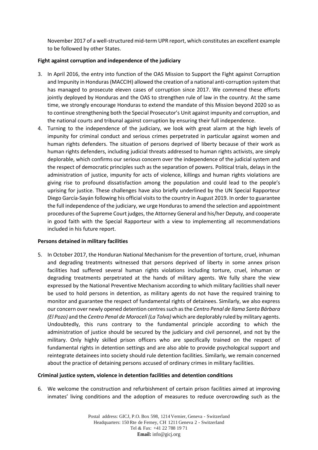November 2017 of a well-structured mid-term UPR report, which constitutes an excellent example to be followed by other States.

### **Fight against corruption and independence of the judiciary**

- 3. In April 2016, the entry into function of the OAS Mission to Support the Fight against Corruption and Impunity in Honduras(MACCIH) allowed the creation of a national anti-corruption system that has managed to prosecute eleven cases of corruption since 2017. We commend these efforts jointly deployed by Honduras and the OAS to strengthen rule of law in the country. At the same time, we strongly encourage Honduras to extend the mandate of this Mission beyond 2020 so as to continue strengthening both the Special Prosecutor's Unit against impunity and corruption, and the national courts and tribunal against corruption by ensuring their full independence.
- 4. Turning to the independence of the judiciary, we look with great alarm at the high levels of impunity for criminal conduct and serious crimes perpetrated in particular against women and human rights defenders. The situation of persons deprived of liberty because of their work as human rights defenders, including judicial threats addressed to human rights activists, are simply deplorable, which confirms our serious concern over the independence of the judicial system and the respect of democratic principles such as the separation of powers. Political trials, delays in the administration of justice, impunity for acts of violence, killings and human rights violations are giving rise to profound dissatisfaction among the population and could lead to the people's uprising for justice. These challenges have also briefly underlined by the UN Special Rapporteur Diego García-Sayán following his official visits to the country in August 2019. In order to guarantee the full independence of the judiciary, we urge Honduras to amend the selection and appointment procedures of the Supreme Court judges, the Attorney General and his/her Deputy, and cooperate in good faith with the Special Rapporteur with a view to implementing all recommendations included in his future report.

### **Persons detained in military facilities**

5. In October 2017, the Honduran National Mechanism for the prevention of torture, cruel, inhuman and degrading treatments witnessed that persons deprived of liberty in some annex prison facilities had suffered several human rights violations including torture, cruel, inhuman or degrading treatments perpetrated at the hands of military agents. We fully share the view expressed by the National Preventive Mechanism according to which military facilities shall never be used to hold persons in detention, as military agents do not have the required training to monitor and guarantee the respect of fundamental rights of detainees. Similarly, we also express our concern over newly opened detention centres such as the *Centro Penal de Ilama Santa Bárbara (El Pozo)* and the *Centro Penal de Morocelí (La Tolva)* which are deplorably ruled by military agents. Undoubtedly, this runs contrary to the fundamental principle according to which the administration of justice should be secured by the judiciary and civil personnel, and not by the military. Only highly skilled prison officers who are specifically trained on the respect of fundamental rights in detention settings and are also able to provide psychological support and reintegrate detainees into society should rule detention facilities. Similarly, we remain concerned about the practice of detaining persons accused of ordinary crimes in military facilities.

#### **Criminal justice system, violence in detention facilities and detention conditions**

6. We welcome the construction and refurbishment of certain prison facilities aimed at improving inmates' living conditions and the adoption of measures to reduce overcrowding such as the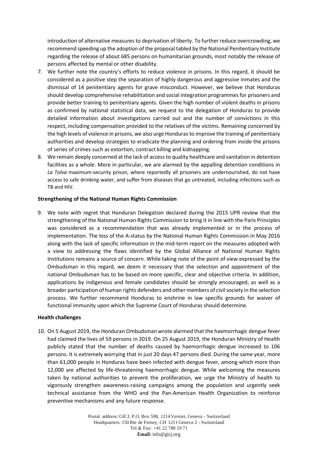introduction of alternative measures to deprivation of liberty. To further reduce overcrowding, we recommend speeding up the adoption of the proposal tabled by the National Penitentiary Institute regarding the release of about 685 persons on humanitarian grounds, most notably the release of persons affected by mental or other disability.

- 7. We further note the country's efforts to reduce violence in prisons. In this regard, it should be considered as a positive step the separation of highly dangerous and aggressive inmates and the dismissal of 14 penitentiary agents for grave misconduct. However, we believe that Honduras should develop comprehensive rehabilitation and social integration programmes for prisoners and provide better training to penitentiary agents. Given the high number of violent deaths in prisons as confirmed by national statistical data, we request to the delegation of Honduras to provide detailed information about investigations carried out and the number of convictions in this respect, including compensation provided to the relatives of the victims. Remaining concerned by the high levels of violence in prisons, we also urge Honduras to improve the training of penitentiary authorities and develop strategies to eradicate the planning and ordering from inside the prisons of series of crimes such as extortion, contract killing and kidnapping.
- 8. We remain deeply concerned at the lack of access to quality healthcare and sanitation in detention facilities as a whole. More in particular, we are alarmed by the appalling detention conditions in *La Tolva* maximum-security prison, where reportedly all prisoners are undernourished, do not have access to safe drinking water, and suffer from diseases that go untreated, including infections such as TB and HIV.

### **Strengthening of the National Human Rights Commission**

9. We note with regret that Honduran Delegation declared during the 2015 UPR review that the strengthening of the National Human Rights Commission to bring it in line with the Paris Principles was considered as a recommendation that was already implemented or in the process of implementation. The loss of the A-status by the National Human Rights Commission in May 2016 along with the lack of specific information in the mid-term report on the measures adopted with a view to addressing the flaws identified by the Global Alliance of National Human Rights Institutions remains a source of concern. While taking note of the point of view expressed by the Ombudsman in this regard, we deem it necessary that the selection and appointment of the national Ombudsman has to be based on more specific, clear and objective criteria. In addition, applications by indigenous and female candidates should be strongly encouraged, as well as a broader participation of human rights defenders and other members of civil society in the selection process. We further recommend Honduras to enshrine in law specific grounds for waiver of functional immunity upon which the Supreme Court of Honduras should determine.

#### **Health challenges**

10. On 5 August 2019, the Honduran Ombudsman wrote alarmed that the haemorrhagic dengue fever had claimed the lives of 59 persons in 2019. On 25 August 2019, the Honduran Ministry of Health publicly stated that the number of deaths caused by haemorrhagic dengue increased to 106 persons. It is extremely worrying that in just 20 days 47 persons died. During the same year, more than 61,000 people in Honduras have been infected with dengue fever, among which more than 12,000 are affected by life-threatening haemorrhagic dengue. While welcoming the measures taken by national authorities to prevent the proliferation, we urge the Ministry of health to vigorously strengthen awareness-raising campaigns among the population and urgently seek technical assistance from the WHO and the Pan-American Health Organization to reinforce preventive mechanisms and any future response.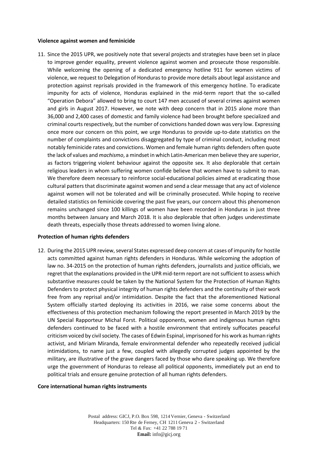#### **Violence against women and feminicide**

11. Since the 2015 UPR, we positively note that several projects and strategies have been set in place to improve gender equality, prevent violence against women and prosecute those responsible. While welcoming the opening of a dedicated emergency hotline 911 for women victims of violence, we request to Delegation of Honduras to provide more details about legal assistance and protection against reprisals provided in the framework of this emergency hotline. To eradicate impunity for acts of violence, Honduras explained in the mid-term report that the so-called "Operation Debora" allowed to bring to court 147 men accused of several crimes against women and girls in August 2017. However, we note with deep concern that in 2015 alone more than 36,000 and 2,400 cases of domestic and family violence had been brought before specialized and criminal courts respectively, but the number of convictions handed down was very low. Expressing once more our concern on this point, we urge Honduras to provide up-to-date statistics on the number of complaints and convictions disaggregated by type of criminal conduct, including most notably feminicide rates and convictions. Women and female human rights defenders often quote the lack of values and *machismo*, a mindset in which Latin-American men believe they are superior, as factors triggering violent behaviour against the opposite sex. It also deplorable that certain religious leaders in whom suffering women confide believe that women have to submit to man. We therefore deem necessary to reinforce social-educational policies aimed at eradicating those cultural patters that discriminate against women and send a clear message that any act of violence against women will not be tolerated and will be criminally prosecuted. While hoping to receive detailed statistics on feminicide covering the past five years, our concern about this phenomenon remains unchanged since 100 killings of women have been recorded in Honduras in just three months between January and March 2018. It is also deplorable that often judges underestimate death threats, especially those threats addressed to women living alone.

#### **Protection of human rights defenders**

12. During the 2015 UPR review, several States expressed deep concern at cases of impunity for hostile acts committed against human rights defenders in Honduras. While welcoming the adoption of law no. 34-2015 on the protection of human rights defenders, journalists and justice officials, we regret that the explanations provided in the UPR mid-term report are not sufficient to assess which substantive measures could be taken by the National System for the Protection of Human Rights Defenders to protect physical integrity of human rights defenders and the continuity of their work free from any reprisal and/or intimidation. Despite the fact that the aforementioned National System officially started deploying its activities in 2016, we raise some concerns about the effectiveness of this protection mechanism following the report presented in March 2019 by the UN Special Rapporteur Michal Forst. Political opponents, women and indigenous human rights defenders continued to be faced with a hostile environment that entirely suffocates peaceful criticism voiced by civil society. The cases of Edwin Espinal, imprisoned for his work as human rights activist, and Miriam Miranda, female environmental defender who repeatedly received judicial intimidations, to name just a few, coupled with allegedly corrupted judges appointed by the military, are illustrative of the grave dangers faced by those who dare speaking up. We therefore urge the government of Honduras to release all political opponents, immediately put an end to political trials and ensure genuine protection of all human rights defenders.

#### **Core international human rights instruments**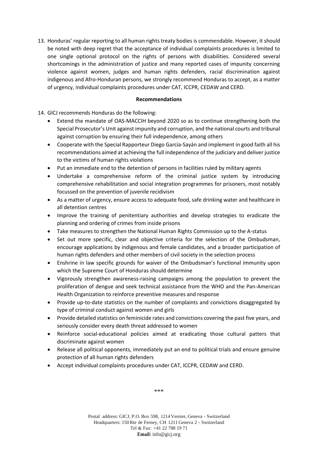13. Honduras' regular reporting to all human rights treaty bodies is commendable. However, it should be noted with deep regret that the acceptance of individual complaints procedures is limited to one single optional protocol on the rights of persons with disabilities. Considered several shortcomings in the administration of justice and many reported cases of impunity concerning violence against women, judges and human rights defenders, racial discrimination against indigenous and Afro-Honduran persons, we strongly recommend Honduras to accept, as a matter of urgency, individual complaints procedures under CAT, ICCPR, CEDAW and CERD.

### **Recommendations**

14. GICJ recommends Honduras do the following:

- Extend the mandate of OAS-MACCIH beyond 2020 so as to continue strengthening both the Special Prosecutor's Unit against impunity and corruption, and the national courts and tribunal against corruption by ensuring their full independence, among others
- Cooperate with the Special Rapporteur Diego García-Sayán and implement in good faith all his recommendations aimed at achieving the full independence of the judiciary and deliver justice to the victims of human rights violations
- Put an immediate end to the detention of persons in facilities ruled by military agents
- Undertake a comprehensive reform of the criminal justice system by introducing comprehensive rehabilitation and social integration programmes for prisoners, most notably focussed on the prevention of juvenile recidivism
- As a matter of urgency, ensure access to adequate food, safe drinking water and healthcare in all detention centres
- Improve the training of penitentiary authorities and develop strategies to eradicate the planning and ordering of crimes from inside prisons
- Take measures to strengthen the National Human Rights Commission up to the A-status
- Set out more specific, clear and objective criteria for the selection of the Ombudsman, encourage applications by indigenous and female candidates, and a broader participation of human rights defenders and other members of civil society in the selection process
- Enshrine in law specific grounds for waiver of the Ombudsman's functional immunity upon which the Supreme Court of Honduras should determine
- Vigorously strengthen awareness-raising campaigns among the population to prevent the proliferation of dengue and seek technical assistance from the WHO and the Pan-American Health Organization to reinforce preventive measures and response
- Provide up-to-date statistics on the number of complaints and convictions disaggregated by type of criminal conduct against women and girls
- Provide detailed statistics on feminicide rates and convictions covering the past five years, and seriously consider every death threat addressed to women
- Reinforce social-educational policies aimed at eradicating those cultural patters that discriminate against women
- Release all political opponents, immediately put an end to political trials and ensure genuine protection of all human rights defenders
- Accept individual complaints procedures under CAT, ICCPR, CEDAW and CERD.

\*\*\*